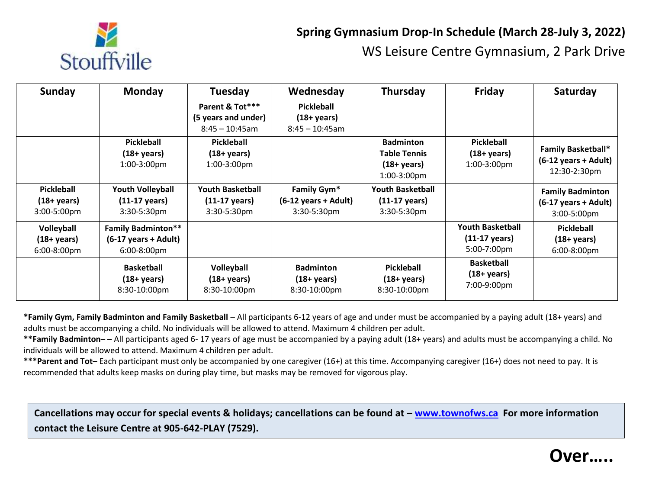

## **Spring Gymnasium Drop-In Schedule (March 28-July 3, 2022)**  WS Leisure Centre Gymnasium, 2 Park Drive

| Sunday                                                    | <b>Monday</b>                                                                     | <b>Tuesday</b>                                                    | Wednesday                                                                       | Thursday                                                                          | Friday                                                            | Saturday                                                                        |
|-----------------------------------------------------------|-----------------------------------------------------------------------------------|-------------------------------------------------------------------|---------------------------------------------------------------------------------|-----------------------------------------------------------------------------------|-------------------------------------------------------------------|---------------------------------------------------------------------------------|
|                                                           |                                                                                   | Parent & Tot***<br>(5 years and under)<br>$8:45 - 10:45$ am       | <b>Pickleball</b><br>$(18 + \text{years})$<br>$8:45 - 10:45$ am                 |                                                                                   |                                                                   |                                                                                 |
|                                                           | Pickleball<br>$(18 + \text{years})$<br>1:00-3:00pm                                | <b>Pickleball</b><br>$(18 + \text{years})$<br>1:00-3:00pm         |                                                                                 | <b>Badminton</b><br><b>Table Tennis</b><br>$(18 + \mathrm{years})$<br>1:00-3:00pm | <b>Pickleball</b><br>$(18 + \gamma ears)$<br>1:00-3:00pm          | <b>Family Basketball*</b><br>(6-12 years + Adult)<br>12:30-2:30pm               |
| <b>Pickleball</b><br>$(18 + \text{years})$<br>3:00-5:00pm | <b>Youth Volleyball</b><br>$(11-17 \text{ years})$<br>3:30-5:30pm                 | <b>Youth Basketball</b><br>$(11-17 \text{ years})$<br>3:30-5:30pm | Family Gym <sup>*</sup><br>$(6-12 \text{ years} + \text{Adult})$<br>3:30-5:30pm | Youth Basketball<br>$(11-17 \text{ years})$<br>$3:30-5:30$ pm                     |                                                                   | <b>Family Badminton</b><br>$(6-17 \text{ years} + \text{Adult})$<br>3:00-5:00pm |
| Volleyball<br>$(18 + \text{years})$<br>6:00-8:00pm        | <b>Family Badminton**</b><br>$(6-17 \text{ years} + \text{Adult})$<br>6:00-8:00pm |                                                                   |                                                                                 |                                                                                   | <b>Youth Basketball</b><br>$(11-17 \text{ years})$<br>5:00-7:00pm | <b>Pickleball</b><br>$(18 + \text{years})$<br>6:00-8:00pm                       |
|                                                           | <b>Basketball</b><br>$(18 + \text{years})$<br>8:30-10:00pm                        | Volleyball<br>$(18 + \text{years})$<br>8:30-10:00pm               | <b>Badminton</b><br>$(18 + \text{years})$<br>8:30-10:00pm                       | <b>Pickleball</b><br>$(18 + \text{years})$<br>8:30-10:00pm                        | <b>Basketball</b><br>$(18 + \text{years})$<br>7:00-9:00pm         |                                                                                 |

**\*Family Gym, Family Badminton and Family Basketball** – All participants 6-12 years of age and under must be accompanied by a paying adult (18+ years) and adults must be accompanying a child. No individuals will be allowed to attend. Maximum 4 children per adult.

**\*\*Family Badminton**– – All participants aged 6- 17 years of age must be accompanied by a paying adult (18+ years) and adults must be accompanying a child. No individuals will be allowed to attend. Maximum 4 children per adult.

**\*\*\*Parent and Tot–** Each participant must only be accompanied by one caregiver (16+) at this time. Accompanying caregiver (16+) does not need to pay. It is recommended that adults keep masks on during play time, but masks may be removed for vigorous play.

Cancellations may occur for special events & holidays; cancellations can be found at – [www.townofws.ca](http://www.townofws.ca.co/) For more information  **contact the Leisure Centre at 905-642-PLAY (7529).**